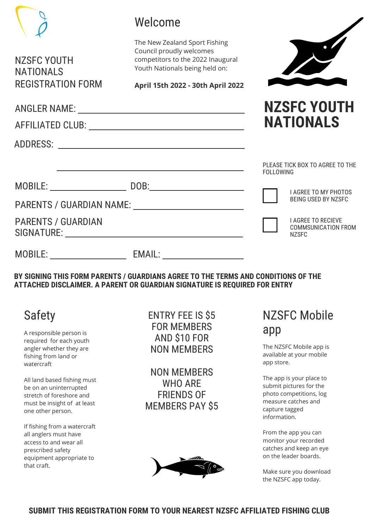|                                                                     | Welcome                                                                                                                                                                                                                       |                                                                                    |
|---------------------------------------------------------------------|-------------------------------------------------------------------------------------------------------------------------------------------------------------------------------------------------------------------------------|------------------------------------------------------------------------------------|
| <b>NZSFC YOUTH</b><br><b>NATIONALS</b>                              | The New Zealand Sport Fishing<br>Council proudly welcomes<br>competitors to the 2022 Inaugural<br>Youth Nationals being held on:                                                                                              |                                                                                    |
| <b>REGISTRATION FORM</b>                                            | April 15th 2022 - 30th April 2022                                                                                                                                                                                             |                                                                                    |
|                                                                     |                                                                                                                                                                                                                               | <b>NZSFC YOUTH</b><br><b>NATIONALS</b>                                             |
|                                                                     | the control of the control of the control of the control of the control of the control of the control of the control of the control of the control of the control of the control of the control of the control of the control | PLEASE TICK BOX TO AGREE TO THE<br><b>FOLLOWING</b><br><b>I AGREE TO MY PHOTOS</b> |
|                                                                     | PARENTS / GUARDIAN NAME: NAMEL CONTROLLER CONTROLLER CONTROLLER CONTROLLER CONTROLLER CONTROLLER CONTROLLER CO                                                                                                                | <b>BEING USED BY NZSFC</b>                                                         |
| <b>PARENTS / GUARDIAN</b>                                           | SIGNATURE: New York SIGNATURE:                                                                                                                                                                                                | <b>I AGREE TO RECIEVE</b><br><b>COMMSUNICATION FROM</b><br><b>NZSFC</b>            |
|                                                                     |                                                                                                                                                                                                                               |                                                                                    |
|                                                                     | BY SIGNING THIS FORM PARENTS / GUARDIANS AGREE TO THE TERMS AND CONDITIONS OF THE<br>ATTACHED DISCLAIMER. A PARENT OR GUARDIAN SIGNATURE IS REQUIRED FOR ENTRY                                                                |                                                                                    |
| <b>Safety</b><br>A responsible person is<br>required for each youth | <b>ENTRY FEE IS \$5</b><br><b>FOR MEMBERS</b><br><b>AND \$10 FOR</b>                                                                                                                                                          | NZSFC Mobile<br>app                                                                |

required for each youth angler whether they are fishing from land or watercraft

All land based fishing must be on an uninterrupted stretch of foreshore and must be insight of at least one other person.

If fishing from a watercraft all anglers must have access to and wear all prescribed safety equipment appropriate to that craft.

## AND \$10 FOR NON MEMBERS

NON MEMBERS WHO ARE FRIENDS OF MEMBERS PAY \$5



The NZSFC Mobile app is available at your mobile app store.

The app is your place to submit pictures for the photo competitions, log measure catches and capture tagged information.

From the app you can monitor your recorded catches and keep an eye on the leader boards.

Make sure you download the NZSFC app today.